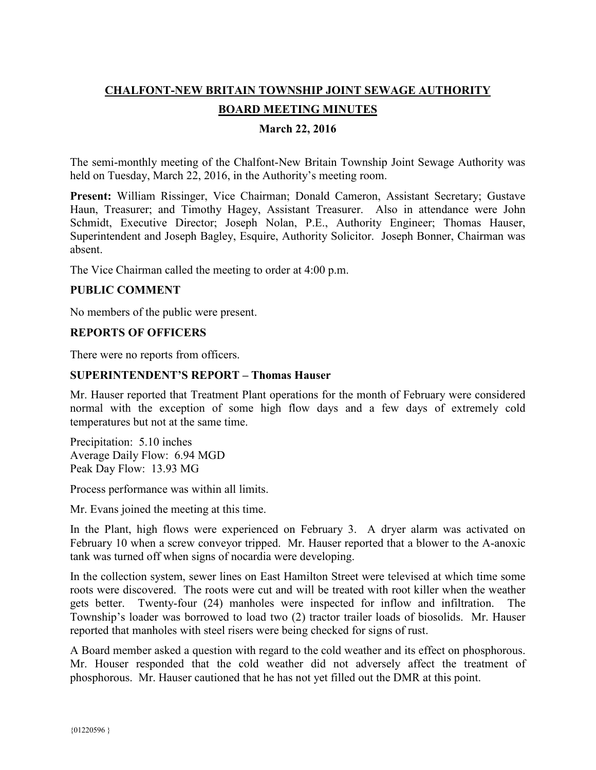# **CHALFONT-NEW BRITAIN TOWNSHIP JOINT SEWAGE AUTHORITY**

# **BOARD MEETING MINUTES**

## **March 22, 2016**

The semi-monthly meeting of the Chalfont-New Britain Township Joint Sewage Authority was held on Tuesday, March 22, 2016, in the Authority's meeting room.

**Present:** William Rissinger, Vice Chairman; Donald Cameron, Assistant Secretary; Gustave Haun, Treasurer; and Timothy Hagey, Assistant Treasurer. Also in attendance were John Schmidt, Executive Director; Joseph Nolan, P.E., Authority Engineer; Thomas Hauser, Superintendent and Joseph Bagley, Esquire, Authority Solicitor. Joseph Bonner, Chairman was absent.

The Vice Chairman called the meeting to order at 4:00 p.m.

## **PUBLIC COMMENT**

No members of the public were present.

### **REPORTS OF OFFICERS**

There were no reports from officers.

### **SUPERINTENDENT'S REPORT – Thomas Hauser**

Mr. Hauser reported that Treatment Plant operations for the month of February were considered normal with the exception of some high flow days and a few days of extremely cold temperatures but not at the same time.

Precipitation: 5.10 inches Average Daily Flow: 6.94 MGD Peak Day Flow: 13.93 MG

Process performance was within all limits.

Mr. Evans joined the meeting at this time.

In the Plant, high flows were experienced on February 3. A dryer alarm was activated on February 10 when a screw conveyor tripped. Mr. Hauser reported that a blower to the A-anoxic tank was turned off when signs of nocardia were developing.

In the collection system, sewer lines on East Hamilton Street were televised at which time some roots were discovered. The roots were cut and will be treated with root killer when the weather gets better. Twenty-four (24) manholes were inspected for inflow and infiltration. The Township's loader was borrowed to load two (2) tractor trailer loads of biosolids. Mr. Hauser reported that manholes with steel risers were being checked for signs of rust.

A Board member asked a question with regard to the cold weather and its effect on phosphorous. Mr. Houser responded that the cold weather did not adversely affect the treatment of phosphorous. Mr. Hauser cautioned that he has not yet filled out the DMR at this point.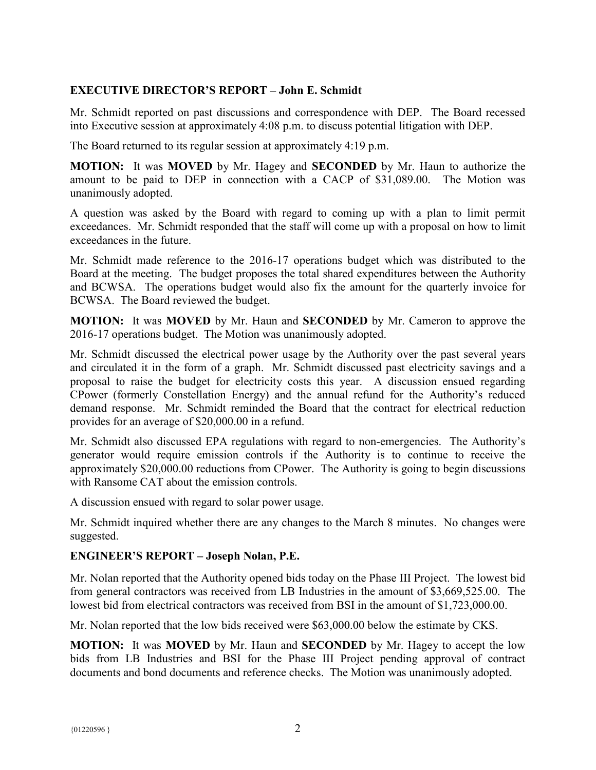# **EXECUTIVE DIRECTOR'S REPORT – John E. Schmidt**

Mr. Schmidt reported on past discussions and correspondence with DEP. The Board recessed into Executive session at approximately 4:08 p.m. to discuss potential litigation with DEP.

The Board returned to its regular session at approximately 4:19 p.m.

**MOTION:** It was **MOVED** by Mr. Hagey and **SECONDED** by Mr. Haun to authorize the amount to be paid to DEP in connection with a CACP of \$31,089.00. The Motion was unanimously adopted.

A question was asked by the Board with regard to coming up with a plan to limit permit exceedances. Mr. Schmidt responded that the staff will come up with a proposal on how to limit exceedances in the future.

Mr. Schmidt made reference to the 2016-17 operations budget which was distributed to the Board at the meeting. The budget proposes the total shared expenditures between the Authority and BCWSA. The operations budget would also fix the amount for the quarterly invoice for BCWSA. The Board reviewed the budget.

**MOTION:** It was **MOVED** by Mr. Haun and **SECONDED** by Mr. Cameron to approve the 2016-17 operations budget. The Motion was unanimously adopted.

Mr. Schmidt discussed the electrical power usage by the Authority over the past several years and circulated it in the form of a graph. Mr. Schmidt discussed past electricity savings and a proposal to raise the budget for electricity costs this year. A discussion ensued regarding CPower (formerly Constellation Energy) and the annual refund for the Authority's reduced demand response. Mr. Schmidt reminded the Board that the contract for electrical reduction provides for an average of \$20,000.00 in a refund.

Mr. Schmidt also discussed EPA regulations with regard to non-emergencies. The Authority's generator would require emission controls if the Authority is to continue to receive the approximately \$20,000.00 reductions from CPower. The Authority is going to begin discussions with Ransome CAT about the emission controls.

A discussion ensued with regard to solar power usage.

Mr. Schmidt inquired whether there are any changes to the March 8 minutes. No changes were suggested.

# **ENGINEER'S REPORT – Joseph Nolan, P.E.**

Mr. Nolan reported that the Authority opened bids today on the Phase III Project. The lowest bid from general contractors was received from LB Industries in the amount of \$3,669,525.00. The lowest bid from electrical contractors was received from BSI in the amount of \$1,723,000.00.

Mr. Nolan reported that the low bids received were \$63,000.00 below the estimate by CKS.

**MOTION:** It was **MOVED** by Mr. Haun and **SECONDED** by Mr. Hagey to accept the low bids from LB Industries and BSI for the Phase III Project pending approval of contract documents and bond documents and reference checks. The Motion was unanimously adopted.